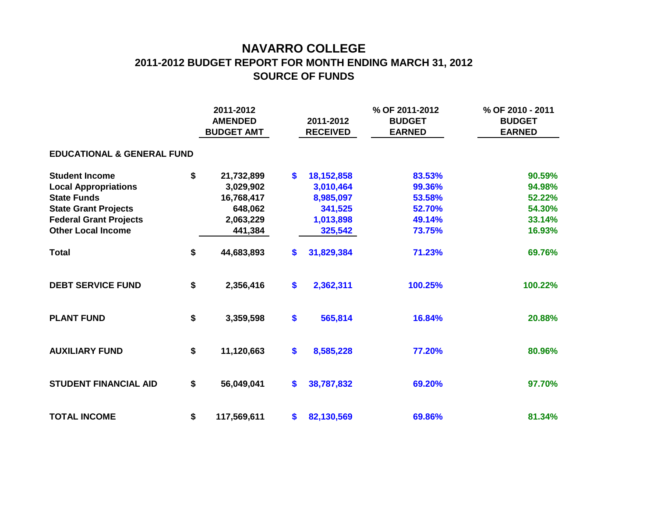## **NAVARRO COLLEGE 2011-2012 BUDGET REPORT FOR MONTH ENDING MARCH 31, 2012 SOURCE OF FUNDS**

|                                       | 2011-2012<br><b>AMENDED</b><br><b>BUDGET AMT</b> |             |    | 2011-2012<br><b>RECEIVED</b> | % OF 2011-2012<br><b>BUDGET</b><br><b>EARNED</b> | % OF 2010 - 2011<br><b>BUDGET</b><br><b>EARNED</b> |  |  |  |  |  |  |  |  |
|---------------------------------------|--------------------------------------------------|-------------|----|------------------------------|--------------------------------------------------|----------------------------------------------------|--|--|--|--|--|--|--|--|
| <b>EDUCATIONAL &amp; GENERAL FUND</b> |                                                  |             |    |                              |                                                  |                                                    |  |  |  |  |  |  |  |  |
| <b>Student Income</b>                 | \$                                               | 21,732,899  | \$ | 18,152,858                   | 83.53%                                           | 90.59%                                             |  |  |  |  |  |  |  |  |
| <b>Local Appropriations</b>           |                                                  | 3,029,902   |    | 3,010,464                    | 99.36%                                           | 94.98%                                             |  |  |  |  |  |  |  |  |
| <b>State Funds</b>                    |                                                  | 16,768,417  |    | 8,985,097                    | 53.58%                                           | 52.22%                                             |  |  |  |  |  |  |  |  |
| <b>State Grant Projects</b>           |                                                  | 648,062     |    | 341,525                      | 52.70%                                           | 54.30%                                             |  |  |  |  |  |  |  |  |
| <b>Federal Grant Projects</b>         |                                                  | 2,063,229   |    | 1,013,898                    | 49.14%                                           | 33.14%                                             |  |  |  |  |  |  |  |  |
| <b>Other Local Income</b>             |                                                  | 441,384     |    | 325,542                      | 73.75%                                           | 16.93%                                             |  |  |  |  |  |  |  |  |
| <b>Total</b>                          | \$                                               | 44,683,893  | \$ | 31,829,384                   | 71.23%                                           | 69.76%                                             |  |  |  |  |  |  |  |  |
| <b>DEBT SERVICE FUND</b>              | \$                                               | 2,356,416   | \$ | 2,362,311                    | 100.25%                                          | 100.22%                                            |  |  |  |  |  |  |  |  |
| <b>PLANT FUND</b>                     | \$                                               | 3,359,598   | \$ | 565,814                      | 16.84%                                           | 20.88%                                             |  |  |  |  |  |  |  |  |
| <b>AUXILIARY FUND</b>                 | \$                                               | 11,120,663  | \$ | 8,585,228                    | 77.20%                                           | 80.96%                                             |  |  |  |  |  |  |  |  |
| <b>STUDENT FINANCIAL AID</b>          | \$                                               | 56,049,041  | \$ | 38,787,832                   | 69.20%                                           | 97.70%                                             |  |  |  |  |  |  |  |  |
| <b>TOTAL INCOME</b>                   | \$                                               | 117,569,611 | \$ | 82,130,569                   | 69.86%                                           | 81.34%                                             |  |  |  |  |  |  |  |  |